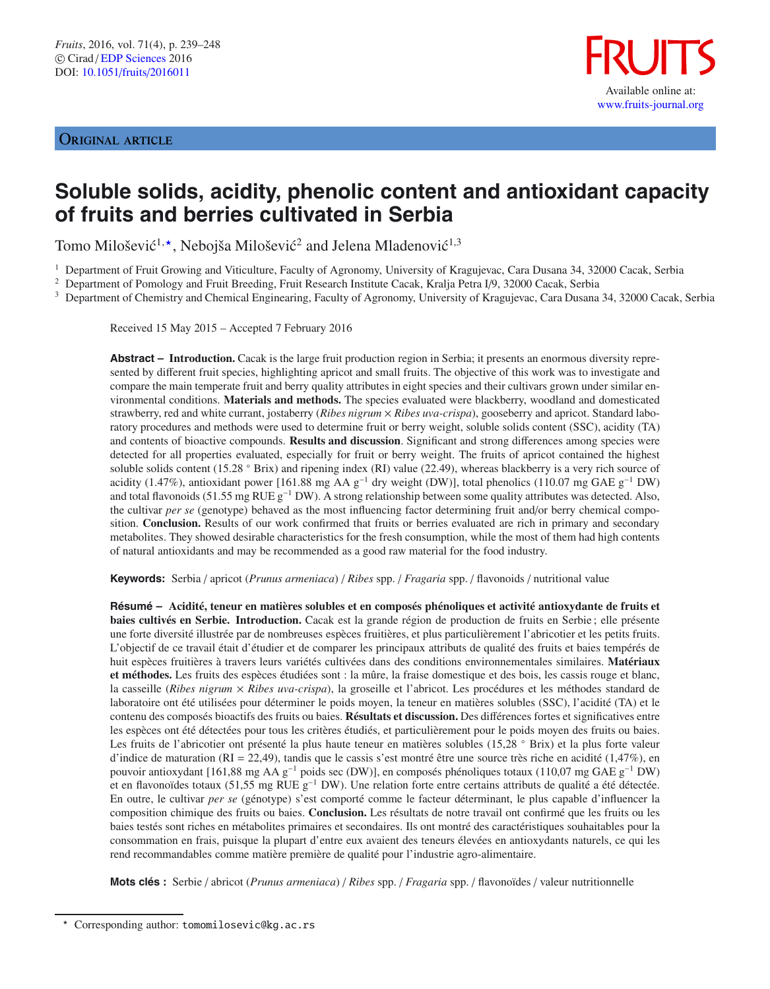# ORIGINAL ARTICLE



# **Soluble solids, acidity, phenolic content and antioxidant capacity of fruits and berries cultivated in Serbia**

Tomo Milošević<sup>1,\*</sup>, Nebojša Milošević<sup>2</sup> and Jelena Mladenović<sup>1,3</sup>

<sup>1</sup> Department of Fruit Growing and Viticulture, Faculty of Agronomy, University of Kragujevac, Cara Dusana 34, 32000 Cacak, Serbia

<sup>2</sup> Department of Pomology and Fruit Breeding, Fruit Research Institute Cacak, Kralja Petra I/9, 32000 Cacak, Serbia

<sup>3</sup> Department of Chemistry and Chemical Enginearing, Faculty of Agronomy, University of Kragujevac, Cara Dusana 34, 32000 Cacak, Serbia

Received 15 May 2015 – Accepted 7 February 2016

**Abstract – Introduction.** Cacak is the large fruit production region in Serbia; it presents an enormous diversity represented by different fruit species, highlighting apricot and small fruits. The objective of this work was to investigate and compare the main temperate fruit and berry quality attributes in eight species and their cultivars grown under similar environmental conditions. **Materials and methods.** The species evaluated were blackberry, woodland and domesticated strawberry, red and white currant, jostaberry (*Ribes nigrum* × *Ribes wa-crispa*), gooseberry and apricot. Standard laboratory procedures and methods were used to determine fruit or berry weight, soluble solids content (SSC), acidity (TA) and contents of bioactive compounds. **Results and discussion**. Significant and strong differences among species were detected for all properties evaluated, especially for fruit or berry weight. The fruits of apricot contained the highest soluble solids content (15.28 ° Brix) and ripening index (RI) value (22.49), whereas blackberry is a very rich source of acidity (1.47%), antioxidant power [161.88 mg AA g−<sup>1</sup> dry weight (DW)], total phenolics (110.07 mg GAE g−<sup>1</sup> DW) and total flavonoids (51.55 mg RUE  $g^{-1}$  DW). A strong relationship between some quality attributes was detected. Also, the cultivar *per se* (genotype) behaved as the most influencing factor determining fruit and/or berry chemical composition. **Conclusion.** Results of our work confirmed that fruits or berries evaluated are rich in primary and secondary metabolites. They showed desirable characteristics for the fresh consumption, while the most of them had high contents of natural antioxidants and may be recommended as a good raw material for the food industry.

**Keywords:** Serbia / apricot (*Prunus armeniaca*) / *Ribes* spp. / *Fragaria* spp. / flavonoids / nutritional value

**Résumé – Acidité, teneur en matières solubles et en composés phénoliques et activité antioxydante de fruits et baies cultivés en Serbie. Introduction.** Cacak est la grande région de production de fruits en Serbie ; elle présente une forte diversité illustrée par de nombreuses espèces fruitières, et plus particulièrement l'abricotier et les petits fruits. L'objectif de ce travail était d'étudier et de comparer les principaux attributs de qualité des fruits et baies tempérés de huit espèces fruitières à travers leurs variétés cultivées dans des conditions environnementales similaires. **Matériaux et méthodes.** Les fruits des espèces étudiées sont : la mûre, la fraise domestique et des bois, les cassis rouge et blanc, la casseille (*Ribes nigrum* × *Ribes uva-crispa*), la groseille et l'abricot. Les procédures et les méthodes standard de laboratoire ont été utilisées pour déterminer le poids moyen, la teneur en matières solubles (SSC), l'acidité (TA) et le contenu des composés bioactifs des fruits ou baies. **Résultats et discussion.** Des différences fortes et significatives entre les espèces ont été détectées pour tous les critères étudiés, et particulièrement pour le poids moyen des fruits ou baies. Les fruits de l'abricotier ont présenté la plus haute teneur en matières solubles (15,28 ◦ Brix) et la plus forte valeur d'indice de maturation ( $RI = 22.49$ ), tandis que le cassis s'est montré être une source très riche en acidité (1,47%), en pouvoir antioxydant [161,88 mg AA g−<sup>1</sup> poids sec (DW)], en composés phénoliques totaux (110,07 mg GAE g−<sup>1</sup> DW) et en flavonoïdes totaux (51,55 mg RUE g<sup>−1</sup> DW). Une relation forte entre certains attributs de qualité a été détectée. En outre, le cultivar *per se* (génotype) s'est comporté comme le facteur déterminant, le plus capable d'influencer la composition chimique des fruits ou baies. **Conclusion.** Les résultats de notre travail ont confirmé que les fruits ou les baies testés sont riches en métabolites primaires et secondaires. Ils ont montré des caractéristiques souhaitables pour la consommation en frais, puisque la plupart d'entre eux avaient des teneurs élevées en antioxydants naturels, ce qui les rend recommandables comme matière première de qualité pour l'industrie agro-alimentaire.

**Mots clés :** Serbie / abricot (*Prunus armeniaca*) / *Ribes* spp. / *Fragaria* spp. / flavonoïdes / valeur nutritionnelle

 $\star$ Corresponding author: tomomilosevic@kg.ac.rs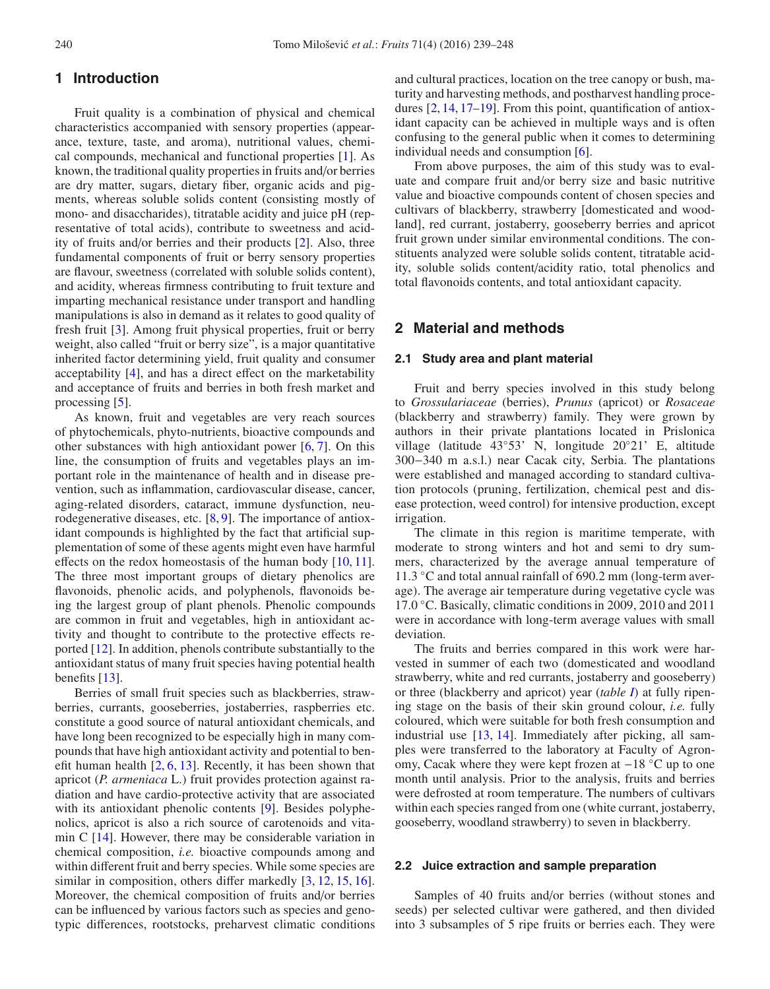# **1 Introduction**

Fruit quality is a combination of physical and chemical characteristics accompanied with sensory properties (appearance, texture, taste, and aroma), nutritional values, chemical compounds, mechanical and functional properties [\[1\]](#page-8-0). As known, the traditional quality properties in fruits and/or berries are dry matter, sugars, dietary fiber, organic acids and pigments, whereas soluble solids content (consisting mostly of mono- and disaccharides), titratable acidity and juice pH (representative of total acids), contribute to sweetness and acidity of fruits and/or berries and their products [\[2](#page-8-1)]. Also, three fundamental components of fruit or berry sensory properties are flavour, sweetness (correlated with soluble solids content), and acidity, whereas firmness contributing to fruit texture and imparting mechanical resistance under transport and handling manipulations is also in demand as it relates to good quality of fresh fruit [\[3](#page-8-2)]. Among fruit physical properties, fruit or berry weight, also called "fruit or berry size", is a major quantitative inherited factor determining yield, fruit quality and consumer acceptability [\[4](#page-8-3)], and has a direct effect on the marketability and acceptance of fruits and berries in both fresh market and processing [\[5\]](#page-8-4).

As known, fruit and vegetables are very reach sources of phytochemicals, phyto-nutrients, bioactive compounds and other substances with high antioxidant power [\[6,](#page-8-5) [7](#page-8-6)]. On this line, the consumption of fruits and vegetables plays an important role in the maintenance of health and in disease prevention, such as inflammation, cardiovascular disease, cancer, aging-related disorders, cataract, immune dysfunction, neurodegenerative diseases, etc. [\[8](#page-8-7), [9](#page-8-8)]. The importance of antioxidant compounds is highlighted by the fact that artificial supplementation of some of these agents might even have harmful effects on the redox homeostasis of the human body [\[10,](#page-8-9) [11](#page-8-10)]. The three most important groups of dietary phenolics are flavonoids, phenolic acids, and polyphenols, flavonoids being the largest group of plant phenols. Phenolic compounds are common in fruit and vegetables, high in antioxidant activity and thought to contribute to the protective effects reported [\[12\]](#page-8-11). In addition, phenols contribute substantially to the antioxidant status of many fruit species having potential health benefits [\[13](#page-8-12)].

Berries of small fruit species such as blackberries, strawberries, currants, gooseberries, jostaberries, raspberries etc. constitute a good source of natural antioxidant chemicals, and have long been recognized to be especially high in many compounds that have high antioxidant activity and potential to benefit human health  $[2, 6, 13]$  $[2, 6, 13]$  $[2, 6, 13]$  $[2, 6, 13]$  $[2, 6, 13]$ . Recently, it has been shown that apricot (*P. armeniaca* L.) fruit provides protection against radiation and have cardio-protective activity that are associated with its antioxidant phenolic contents [\[9\]](#page-8-8). Besides polyphenolics, apricot is also a rich source of carotenoids and vitamin C [\[14](#page-8-13)]. However, there may be considerable variation in chemical composition, *i.e.* bioactive compounds among and within different fruit and berry species. While some species are similar in composition, others differ markedly  $[3, 12, 15, 16]$  $[3, 12, 15, 16]$  $[3, 12, 15, 16]$  $[3, 12, 15, 16]$  $[3, 12, 15, 16]$  $[3, 12, 15, 16]$  $[3, 12, 15, 16]$  $[3, 12, 15, 16]$ . Moreover, the chemical composition of fruits and/or berries can be influenced by various factors such as species and genotypic differences, rootstocks, preharvest climatic conditions and cultural practices, location on the tree canopy or bush, maturity and harvesting methods, and postharvest handling procedures [\[2,](#page-8-1) [14,](#page-8-13) [17](#page-8-16)[–19\]](#page-8-17). From this point, quantification of antioxidant capacity can be achieved in multiple ways and is often confusing to the general public when it comes to determining individual needs and consumption [\[6\]](#page-8-5).

From above purposes, the aim of this study was to evaluate and compare fruit and/or berry size and basic nutritive value and bioactive compounds content of chosen species and cultivars of blackberry, strawberry [domesticated and woodland], red currant, jostaberry, gooseberry berries and apricot fruit grown under similar environmental conditions. The constituents analyzed were soluble solids content, titratable acidity, soluble solids content/acidity ratio, total phenolics and total flavonoids contents, and total antioxidant capacity.

# **2 Material and methods**

#### **2.1 Study area and plant material**

Fruit and berry species involved in this study belong to *Grossulariaceae* (berries), *Prunus* (apricot) or *Rosaceae* (blackberry and strawberry) family. They were grown by authors in their private plantations located in Prislonica village (latitude 43◦53' N, longitude 20◦21' E, altitude 300−340 m a.s.l.) near Cacak city, Serbia. The plantations were established and managed according to standard cultivation protocols (pruning, fertilization, chemical pest and disease protection, weed control) for intensive production, except irrigation.

The climate in this region is maritime temperate, with moderate to strong winters and hot and semi to dry summers, characterized by the average annual temperature of 11.3 ◦C and total annual rainfall of 690.2 mm (long-term average). The average air temperature during vegetative cycle was 17.0 ◦C. Basically, climatic conditions in 2009, 2010 and 2011 were in accordance with long-term average values with small deviation.

The fruits and berries compared in this work were harvested in summer of each two (domesticated and woodland strawberry, white and red currants, jostaberry and gooseberry) or three (blackberry and apricot) year (*table [I](#page-2-0)*) at fully ripening stage on the basis of their skin ground colour, *i.e.* fully coloured, which were suitable for both fresh consumption and industrial use [\[13,](#page-8-12) [14\]](#page-8-13). Immediately after picking, all samples were transferred to the laboratory at Faculty of Agronomy, Cacak where they were kept frozen at −18 ◦C up to one month until analysis. Prior to the analysis, fruits and berries were defrosted at room temperature. The numbers of cultivars within each species ranged from one (white currant, jostaberry, gooseberry, woodland strawberry) to seven in blackberry.

#### **2.2 Juice extraction and sample preparation**

Samples of 40 fruits and/or berries (without stones and seeds) per selected cultivar were gathered, and then divided into 3 subsamples of 5 ripe fruits or berries each. They were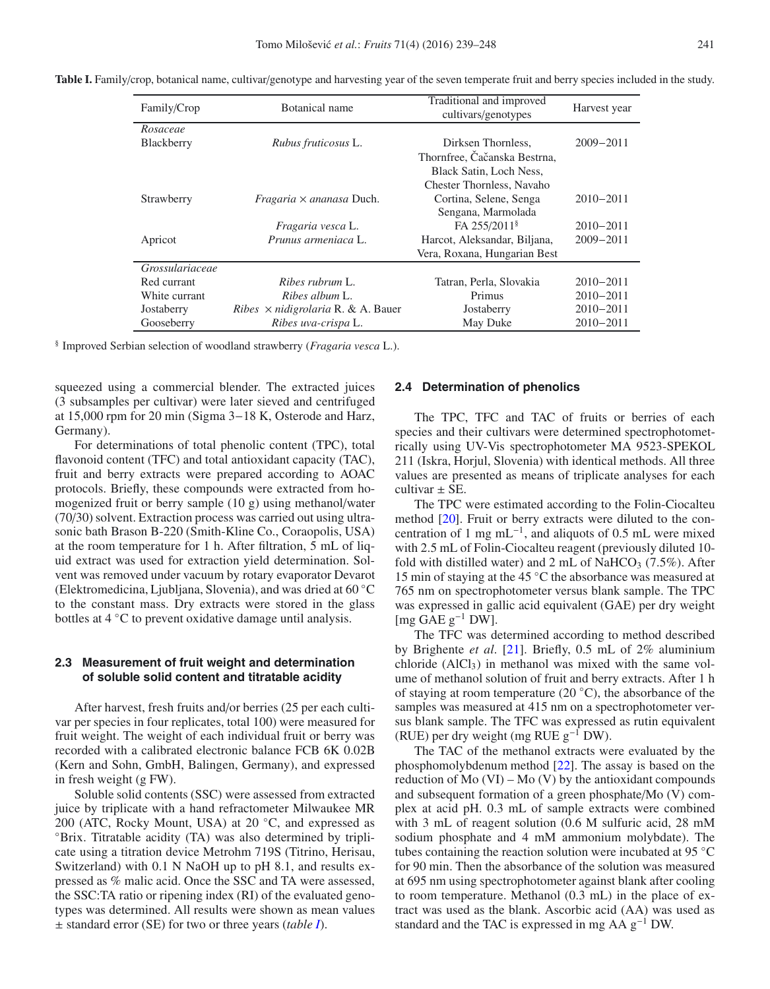| Family/Crop     | Botanical name                                          | Traditional and improved<br>cultivars/genotypes | Harvest year  |
|-----------------|---------------------------------------------------------|-------------------------------------------------|---------------|
| Rosaceae        |                                                         |                                                 |               |
| Blackberry      | Rubus fruticosus L.                                     | Dirksen Thornless.                              | $2009 - 2011$ |
|                 |                                                         | Thornfree, Čačanska Bestrna,                    |               |
|                 |                                                         | Black Satin, Loch Ness,                         |               |
|                 |                                                         | Chester Thornless, Navaho                       |               |
| Strawberry      | <i>Fragaria × ananasa Duch.</i>                         | Cortina, Selene, Senga                          | $2010 - 2011$ |
|                 |                                                         | Sengana, Marmolada                              |               |
|                 | Fragaria vesca L.                                       | FA 255/2011 <sup>§</sup>                        | $2010 - 2011$ |
| Apricot         | Prunus armeniaca L.<br>Harcot, Aleksandar, Biljana,     |                                                 | $2009 - 2011$ |
|                 |                                                         | Vera, Roxana, Hungarian Best                    |               |
| Grossulariaceae |                                                         |                                                 |               |
| Red currant     | Ribes rubrum L.                                         | Tatran, Perla, Slovakia                         | $2010 - 2011$ |
| White currant   | Ribes album L.                                          | Primus                                          | $2010 - 2011$ |
| Jostaberry      | <i>Ribes</i> $\times$ <i>nidigrolaria</i> R. & A. Bauer | Jostaberry                                      | $2010 - 2011$ |
| Gooseberry      | Ribes uva-crispa L.                                     | May Duke                                        | $2010 - 2011$ |

<span id="page-2-0"></span>**Table I.** Family/crop, botanical name, cultivar/genotype and harvesting year of the seven temperate fruit and berry species included in the study.

§ Improved Serbian selection of woodland strawberry (*Fragaria vesca* L.).

squeezed using a commercial blender. The extracted juices (3 subsamples per cultivar) were later sieved and centrifuged at 15,000 rpm for 20 min (Sigma 3−18 K, Osterode and Harz, Germany).

For determinations of total phenolic content (TPC), total flavonoid content (TFC) and total antioxidant capacity (TAC), fruit and berry extracts were prepared according to AOAC protocols. Briefly, these compounds were extracted from homogenized fruit or berry sample (10 g) using methanol/water (70/30) solvent. Extraction process was carried out using ultrasonic bath Brason B-220 (Smith-Kline Co., Coraopolis, USA) at the room temperature for 1 h. After filtration, 5 mL of liquid extract was used for extraction yield determination. Solvent was removed under vacuum by rotary evaporator Devarot (Elektromedicina, Ljubljana, Slovenia), and was dried at 60 ◦C to the constant mass. Dry extracts were stored in the glass bottles at 4 ◦C to prevent oxidative damage until analysis.

## **2.3 Measurement of fruit weight and determination of soluble solid content and titratable acidity**

After harvest, fresh fruits and/or berries (25 per each cultivar per species in four replicates, total 100) were measured for fruit weight. The weight of each individual fruit or berry was recorded with a calibrated electronic balance FCB 6K 0.02B (Kern and Sohn, GmbH, Balingen, Germany), and expressed in fresh weight (g FW).

Soluble solid contents (SSC) were assessed from extracted juice by triplicate with a hand refractometer Milwaukee MR 200 (ATC, Rocky Mount, USA) at 20  $°C$ , and expressed as ◦Brix. Titratable acidity (TA) was also determined by triplicate using a titration device Metrohm 719S (Titrino, Herisau, Switzerland) with 0.1 N NaOH up to pH 8.1, and results expressed as % malic acid. Once the SSC and TA were assessed, the SSC:TA ratio or ripening index (RI) of the evaluated genotypes was determined. All results were shown as mean values ± standard error (SE) for two or three years (*table [I](#page-2-0)*).

#### **2.4 Determination of phenolics**

The TPC, TFC and TAC of fruits or berries of each species and their cultivars were determined spectrophotometrically using UV-Vis spectrophotometer MA 9523-SPEKOL 211 (Iskra, Horjul, Slovenia) with identical methods. All three values are presented as means of triplicate analyses for each cultivar  $\pm$  SE.

The TPC were estimated according to the Folin-Ciocalteu method [\[20](#page-8-18)]. Fruit or berry extracts were diluted to the concentration of 1 mg mL−1, and aliquots of 0.5 mL were mixed with 2.5 mL of Folin-Ciocalteu reagent (previously diluted 10 fold with distilled water) and 2 mL of NaHCO<sub>3</sub>  $(7.5\%)$ . After 15 min of staying at the 45 ◦C the absorbance was measured at 765 nm on spectrophotometer versus blank sample. The TPC was expressed in gallic acid equivalent (GAE) per dry weight [mg GAE  $g^{-1}$  DW].

The TFC was determined according to method described by Brighente *et al*. [\[21\]](#page-8-19). Briefly, 0.5 mL of 2% aluminium chloride  $(AlCl<sub>3</sub>)$  in methanol was mixed with the same volume of methanol solution of fruit and berry extracts. After 1 h of staying at room temperature (20 ◦C), the absorbance of the samples was measured at 415 nm on a spectrophotometer versus blank sample. The TFC was expressed as rutin equivalent (RUE) per dry weight (mg RUE  $g^{-1}$  DW).

The TAC of the methanol extracts were evaluated by the phosphomolybdenum method [\[22\]](#page-8-20). The assay is based on the reduction of  $Mo$  (VI) – Mo (V) by the antioxidant compounds and subsequent formation of a green phosphate/Mo (V) complex at acid pH. 0.3 mL of sample extracts were combined with 3 mL of reagent solution  $(0.6 \text{ M})$  sulfuric acid, 28 mM sodium phosphate and 4 mM ammonium molybdate). The tubes containing the reaction solution were incubated at 95 ◦C for 90 min. Then the absorbance of the solution was measured at 695 nm using spectrophotometer against blank after cooling to room temperature. Methanol (0.3 mL) in the place of extract was used as the blank. Ascorbic acid (AA) was used as standard and the TAC is expressed in mg AA  $g^{-1}$  DW.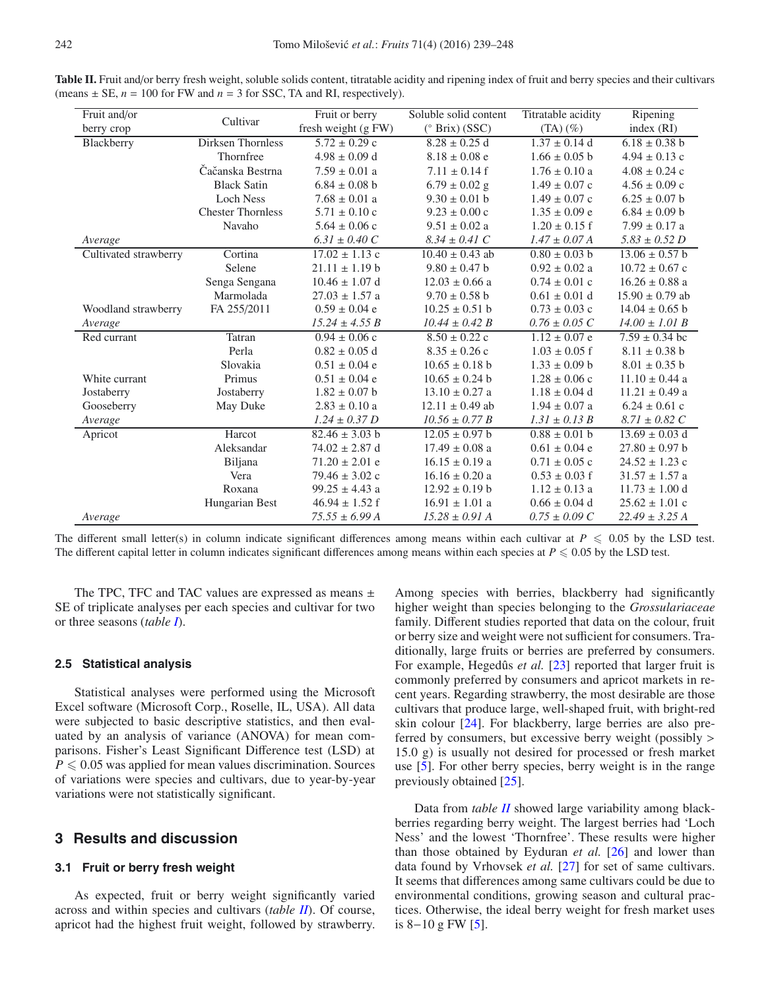| Fruit and/or          | Cultivar                 | Fruit or berry      | Soluble solid content | Titratable acidity | Ripening            |
|-----------------------|--------------------------|---------------------|-----------------------|--------------------|---------------------|
| berry crop            |                          | fresh weight (g FW) | $(^\circ$ Brix) (SSC) | $(TA)(\%)$         | index (RI)          |
| Blackberry            | <b>Dirksen Thornless</b> | $5.72 \pm 0.29$ c   | $8.28 \pm 0.25$ d     | $1.37 \pm 0.14$ d  | $6.18 \pm 0.38$ b   |
|                       | Thornfree                | $4.98\pm0.09$ d     | $8.18 \pm 0.08$ e     | $1.66 \pm 0.05$ b  | $4.94 \pm 0.13$ c   |
|                       | Čačanska Bestrna         | $7.59 \pm 0.01$ a   | $7.11 \pm 0.14$ f     | $1.76 \pm 0.10$ a  | $4.08 \pm 0.24$ c   |
|                       | <b>Black Satin</b>       | $6.84 \pm 0.08$ b   | $6.79 \pm 0.02$ g     | $1.49 \pm 0.07$ c  | $4.56 \pm 0.09$ c   |
|                       | <b>Loch Ness</b>         | $7.68 \pm 0.01$ a   | $9.30 \pm 0.01$ b     | $1.49 \pm 0.07$ c  | $6.25 \pm 0.07$ b   |
|                       | <b>Chester Thornless</b> | $5.71 \pm 0.10$ c   | $9.23 \pm 0.00$ c     | $1.35 \pm 0.09$ e  | $6.84 \pm 0.09$ b   |
|                       | Navaho                   | $5.64 \pm 0.06$ c   | $9.51 \pm 0.02$ a     | $1.20 \pm 0.15$ f  | $7.99 \pm 0.17$ a   |
| Average               |                          | $6.31 \pm 0.40 C$   | $8.34 \pm 0.41$ C     | $1.47 \pm 0.07$ A  | $5.83 \pm 0.52$ D   |
| Cultivated strawberry | Cortina                  | $17.02 \pm 1.13$ c  | $10.40 \pm 0.43$ ab   | $0.80 \pm 0.03$ b  | $13.06 \pm 0.57$ b  |
|                       | Selene                   | $21.11 \pm 1.19 b$  | $9.80 \pm 0.47$ b     | $0.92 \pm 0.02$ a  | $10.72 \pm 0.67$ c  |
|                       | Senga Sengana            | $10.46 \pm 1.07$ d  | $12.03 \pm 0.66$ a    | $0.74 \pm 0.01$ c  | $16.26 \pm 0.88$ a  |
|                       | Marmolada                | $27.03 \pm 1.57$ a  | $9.70 \pm 0.58$ b     | $0.61 \pm 0.01$ d  | $15.90 \pm 0.79$ ab |
| Woodland strawberry   | FA 255/2011              | $0.59 \pm 0.04$ e   | $10.25 \pm 0.51$ b    | $0.73 \pm 0.03$ c  | $14.04 \pm 0.65$ b  |
| Average               |                          | $15.24 \pm 4.55 B$  | $10.44 \pm 0.42 B$    | $0.76 \pm 0.05 C$  | $14.00 \pm 1.01 B$  |
| Red currant           | Tatran                   | $0.94 \pm 0.06$ c   | $8.50 \pm 0.22$ c     | $1.12 \pm 0.07$ e  | $7.59 \pm 0.34$ bc  |
|                       | Perla                    | $0.82 \pm 0.05$ d   | $8.35 \pm 0.26$ c     | $1.03 \pm 0.05$ f  | $8.11 \pm 0.38$ b   |
|                       | Slovakia                 | $0.51 \pm 0.04$ e   | $10.65 \pm 0.18$ b    | $1.33 \pm 0.09$ b  | $8.01 \pm 0.35$ b   |
| White currant         | Primus                   | $0.51 \pm 0.04$ e   | $10.65 \pm 0.24$ b    | $1.28 \pm 0.06$ c  | $11.10 \pm 0.44$ a  |
| Jostaberry            | Jostaberry               | $1.82 \pm 0.07$ b   | $13.10 \pm 0.27$ a    | $1.18 \pm 0.04$ d  | $11.21 \pm 0.49$ a  |
| Gooseberry            | May Duke                 | $2.83 \pm 0.10$ a   | $12.11 \pm 0.49$ ab   | $1.94 \pm 0.07$ a  | $6.24 \pm 0.61$ c   |
| Average               |                          | $1.24 \pm 0.37$ D   | $10.56 \pm 0.77 B$    | $1.31 \pm 0.13 B$  | $8.71 \pm 0.82$ C   |
| Apricot               | Harcot                   | $82.46 \pm 3.03$ b  | $12.05 \pm 0.97$ b    | $0.88 \pm 0.01$ b  | $13.69 \pm 0.03$ d  |
|                       | Aleksandar               | $74.02 \pm 2.87$ d  | $17.49 \pm 0.08$ a    | $0.61 \pm 0.04$ e  | $27.80 \pm 0.97$ b  |
|                       | Biljana                  | $71.20 \pm 2.01$ e  | $16.15 \pm 0.19$ a    | $0.71 \pm 0.05$ c  | $24.52 \pm 1.23$ c  |
|                       | Vera                     | $79.46 \pm 3.02$ c  | $16.16 \pm 0.20$ a    | $0.53 \pm 0.03$ f  | $31.57 \pm 1.57$ a  |
|                       | Roxana                   | $99.25 \pm 4.43$ a  | $12.92 \pm 0.19$ b    | $1.12 \pm 0.13$ a  | $11.73 \pm 1.00$ d  |
|                       | Hungarian Best           | $46.94 \pm 1.52$ f  | $16.91 \pm 1.01$ a    | $0.66 \pm 0.04$ d  | $25.62 \pm 1.01$ c  |
| Average               |                          | $75.55 \pm 6.99$ A  | $15.28 \pm 0.91$ A    | $0.75 \pm 0.09 C$  | $22.49 \pm 3.25$ A  |

<span id="page-3-0"></span>**Table II.** Fruit and/or berry fresh weight, soluble solids content, titratable acidity and ripening index of fruit and berry species and their cultivars (means  $\pm$  SE,  $n = 100$  for FW and  $n = 3$  for SSC, TA and RI, respectively).

The different small letter(s) in column indicate significant differences among means within each cultivar at  $P \leq 0.05$  by the LSD test. The different capital letter in column indicates significant differences among means within each species at  $P \leq 0.05$  by the LSD test.

The TPC, TFC and TAC values are expressed as means  $\pm$ SE of triplicate analyses per each species and cultivar for two or three seasons (*table [I](#page-2-0)*).

### **2.5 Statistical analysis**

Statistical analyses were performed using the Microsoft Excel software (Microsoft Corp., Roselle, IL, USA). All data were subjected to basic descriptive statistics, and then evaluated by an analysis of variance (ANOVA) for mean comparisons. Fisher's Least Significant Difference test (LSD) at  $P \leqslant 0.05$  was applied for mean values discrimination. Sources of variations were species and cultivars, due to year-by-year variations were not statistically significant.

## **3 Results and discussion**

## **3.1 Fruit or berry fresh weight**

As expected, fruit or berry weight significantly varied across and within species and cultivars (*table [II](#page-3-0)*). Of course, apricot had the highest fruit weight, followed by strawberry. Among species with berries, blackberry had significantly higher weight than species belonging to the *Grossulariaceae* family. Different studies reported that data on the colour, fruit or berry size and weight were not sufficient for consumers. Traditionally, large fruits or berries are preferred by consumers. For example, Hegedûs *et al.* [\[23\]](#page-8-21) reported that larger fruit is commonly preferred by consumers and apricot markets in recent years. Regarding strawberry, the most desirable are those cultivars that produce large, well-shaped fruit, with bright-red skin colour [\[24](#page-8-22)]. For blackberry, large berries are also preferred by consumers, but excessive berry weight (possibly > 15.0 g) is usually not desired for processed or fresh market use [\[5\]](#page-8-4). For other berry species, berry weight is in the range previously obtained [\[25\]](#page-8-23).

Data from *table [II](#page-3-0)* showed large variability among blackberries regarding berry weight. The largest berries had 'Loch Ness' and the lowest 'Thornfree'. These results were higher than those obtained by Eyduran *et al.* [\[26\]](#page-8-24) and lower than data found by Vrhovsek *et al.* [\[27\]](#page-8-25) for set of same cultivars. It seems that differences among same cultivars could be due to environmental conditions, growing season and cultural practices. Otherwise, the ideal berry weight for fresh market uses is 8−10 g FW [\[5\]](#page-8-4).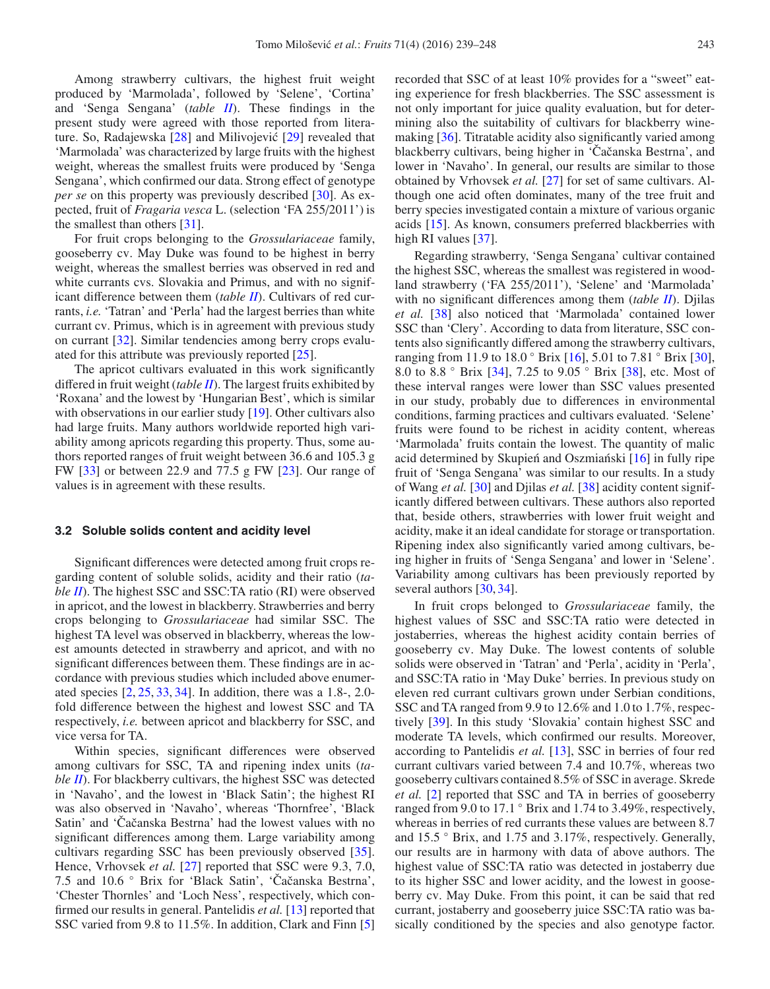Among strawberry cultivars, the highest fruit weight produced by 'Marmolada', followed by 'Selene', 'Cortina' and 'Senga Sengana' (*table [II](#page-3-0)*). These findings in the present study were agreed with those reported from literature. So, Radajewska  $[28]$  and Milivojević  $[29]$  $[29]$  revealed that 'Marmolada' was characterized by large fruits with the highest weight, whereas the smallest fruits were produced by 'Senga Sengana', which confirmed our data. Strong effect of genotype *per se* on this property was previously described [\[30\]](#page-9-1). As expected, fruit of *Fragaria vesca* L. (selection 'FA 255/2011') is the smallest than others [\[31](#page-9-2)].

For fruit crops belonging to the *Grossulariaceae* family, gooseberry cv. May Duke was found to be highest in berry weight, whereas the smallest berries was observed in red and white currants cvs. Slovakia and Primus, and with no significant difference between them (*table [II](#page-3-0)*). Cultivars of red currants, *i.e.* 'Tatran' and 'Perla' had the largest berries than white currant cv. Primus, which is in agreement with previous study on currant [\[32](#page-9-3)]. Similar tendencies among berry crops evaluated for this attribute was previously reported [\[25](#page-8-23)].

The apricot cultivars evaluated in this work significantly differed in fruit weight (*table [II](#page-3-0)*). The largest fruits exhibited by 'Roxana' and the lowest by 'Hungarian Best', which is similar with observations in our earlier study [\[19\]](#page-8-17). Other cultivars also had large fruits. Many authors worldwide reported high variability among apricots regarding this property. Thus, some authors reported ranges of fruit weight between 36.6 and 105.3 g FW [\[33](#page-9-4)] or between 22.9 and 77.5 g FW [\[23](#page-8-21)]. Our range of values is in agreement with these results.

#### **3.2 Soluble solids content and acidity level**

Significant differences were detected among fruit crops regarding content of soluble solids, acidity and their ratio (*table [II](#page-3-0)*). The highest SSC and SSC:TA ratio (RI) were observed in apricot, and the lowest in blackberry. Strawberries and berry crops belonging to *Grossulariaceae* had similar SSC. The highest TA level was observed in blackberry, whereas the lowest amounts detected in strawberry and apricot, and with no significant differences between them. These findings are in accordance with previous studies which included above enumerated species [\[2,](#page-8-1) [25,](#page-8-23) [33,](#page-9-4) [34](#page-9-5)]. In addition, there was a 1.8-, 2.0 fold difference between the highest and lowest SSC and TA respectively, *i.e.* between apricot and blackberry for SSC, and vice versa for TA.

Within species, significant differences were observed among cultivars for SSC, TA and ripening index units (*table [II](#page-3-0)*). For blackberry cultivars, the highest SSC was detected in 'Navaho', and the lowest in 'Black Satin'; the highest RI was also observed in 'Navaho', whereas 'Thornfree', 'Black Satin' and 'Čačanska Bestrna' had the lowest values with no significant differences among them. Large variability among cultivars regarding SSC has been previously observed [\[35](#page-9-6)]. Hence, Vrhovsek *et al.* [\[27\]](#page-8-25) reported that SSC were 9.3, 7.0, 7.5 and 10.6 ° Brix for 'Black Satin', 'Čačanska Bestrna', 'Chester Thornles' and 'Loch Ness', respectively, which confirmed our results in general. Pantelidis *et al.* [\[13](#page-8-12)] reported that SSC varied from 9.8 to 11.5%. In addition, Clark and Finn [\[5\]](#page-8-4)

recorded that SSC of at least 10% provides for a "sweet" eating experience for fresh blackberries. The SSC assessment is not only important for juice quality evaluation, but for determining also the suitability of cultivars for blackberry winemaking [\[36\]](#page-9-7). Titratable acidity also significantly varied among blackberry cultivars, being higher in 'Cačanska Bestrna', and lower in 'Navaho'. In general, our results are similar to those obtained by Vrhovsek *et al.* [\[27\]](#page-8-25) for set of same cultivars. Although one acid often dominates, many of the tree fruit and berry species investigated contain a mixture of various organic acids [\[15\]](#page-8-14). As known, consumers preferred blackberries with high RI values [\[37](#page-9-8)].

Regarding strawberry, 'Senga Sengana' cultivar contained the highest SSC, whereas the smallest was registered in woodland strawberry ('FA 255/2011'), 'Selene' and 'Marmolada' with no significant differences among them (*table [II](#page-3-0)*). Djilas *et al.* [\[38](#page-9-9)] also noticed that 'Marmolada' contained lower SSC than 'Clery'. According to data from literature, SSC contents also significantly differed among the strawberry cultivars, ranging from 11.9 to 18.0 ◦ Brix [\[16\]](#page-8-15), 5.01 to 7.81 ◦ Brix [\[30](#page-9-1)], 8.0 to 8.8 ◦ Brix [\[34](#page-9-5)], 7.25 to 9.05 ◦ Brix [\[38\]](#page-9-9), etc. Most of these interval ranges were lower than SSC values presented in our study, probably due to differences in environmental conditions, farming practices and cultivars evaluated. 'Selene' fruits were found to be richest in acidity content, whereas 'Marmolada' fruits contain the lowest. The quantity of malic acid determined by Skupien and Oszmiański  $[16]$  $[16]$  in fully ripe fruit of 'Senga Sengana' was similar to our results. In a study of Wang *et al.* [\[30\]](#page-9-1) and Djilas *et al.* [\[38](#page-9-9)] acidity content significantly differed between cultivars. These authors also reported that, beside others, strawberries with lower fruit weight and acidity, make it an ideal candidate for storage or transportation. Ripening index also significantly varied among cultivars, being higher in fruits of 'Senga Sengana' and lower in 'Selene'. Variability among cultivars has been previously reported by several authors [\[30,](#page-9-1) [34\]](#page-9-5).

In fruit crops belonged to *Grossulariaceae* family, the highest values of SSC and SSC:TA ratio were detected in jostaberries, whereas the highest acidity contain berries of gooseberry cv. May Duke. The lowest contents of soluble solids were observed in 'Tatran' and 'Perla', acidity in 'Perla', and SSC:TA ratio in 'May Duke' berries. In previous study on eleven red currant cultivars grown under Serbian conditions, SSC and TA ranged from 9.9 to 12.6% and 1.0 to 1.7%, respectively [\[39\]](#page-9-10). In this study 'Slovakia' contain highest SSC and moderate TA levels, which confirmed our results. Moreover, according to Pantelidis *et al.* [\[13](#page-8-12)], SSC in berries of four red currant cultivars varied between 7.4 and 10.7%, whereas two gooseberry cultivars contained 8.5% of SSC in average. Skrede *et al.* [\[2](#page-8-1)] reported that SSC and TA in berries of gooseberry ranged from 9.0 to 17.1 ◦ Brix and 1.74 to 3.49%, respectively, whereas in berries of red currants these values are between 8.7 and 15.5 ◦ Brix, and 1.75 and 3.17%, respectively. Generally, our results are in harmony with data of above authors. The highest value of SSC:TA ratio was detected in jostaberry due to its higher SSC and lower acidity, and the lowest in gooseberry cv. May Duke. From this point, it can be said that red currant, jostaberry and gooseberry juice SSC:TA ratio was basically conditioned by the species and also genotype factor.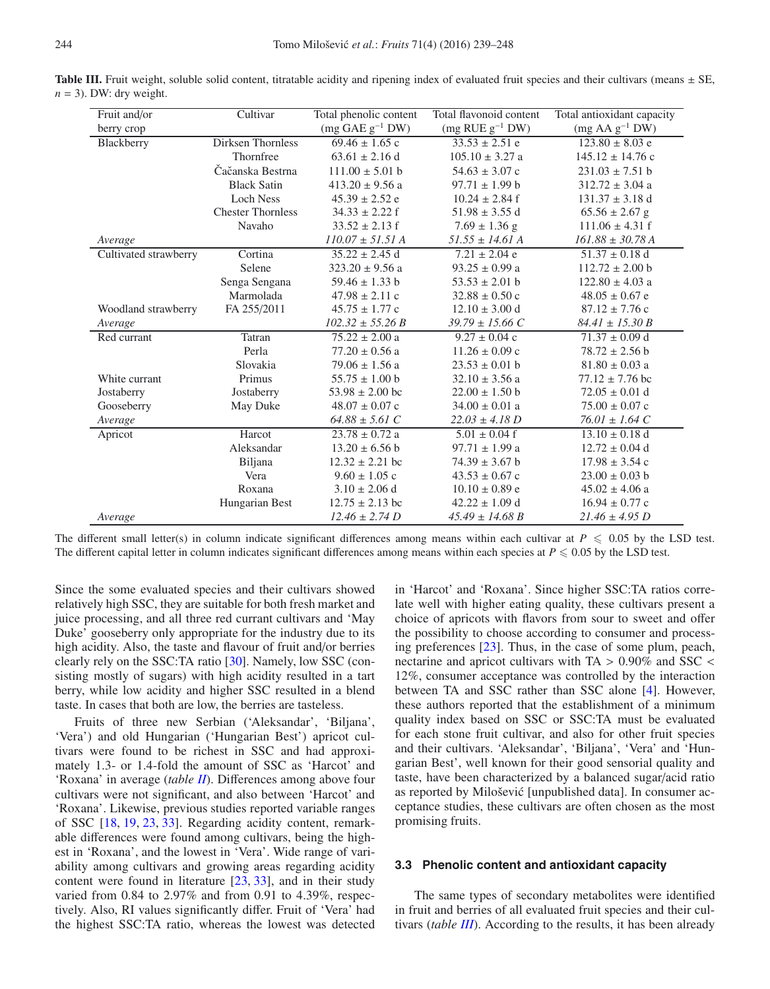| Fruit and/or          | Cultivar                 | Total phenolic content     | Total flavonoid content               | Total antioxidant capacity |
|-----------------------|--------------------------|----------------------------|---------------------------------------|----------------------------|
| berry crop            |                          | $(mg GAE g^{-1} DW)$       | $(mg \text{ RUE } g^{-1} \text{ DW})$ | $(mg AA g^{-1}DW)$         |
| Blackberry            | <b>Dirksen Thornless</b> | $69.46 \pm 1.65$ c         | $33.53 \pm 2.51$ e                    | $123.80 \pm 8.03$ e        |
|                       | Thornfree                | $63.61 \pm 2.16$ d         | $105.10 \pm 3.27$ a                   | $145.12 \pm 14.76$ c       |
|                       | Čačanska Bestrna         | $111.00 \pm 5.01$ b        | $54.63 \pm 3.07$ c                    | $231.03 \pm 7.51 b$        |
|                       | <b>Black Satin</b>       | $413.20 \pm 9.56$ a        | $97.71 \pm 1.99$ b                    | $312.72 \pm 3.04$ a        |
|                       | <b>Loch Ness</b>         | $45.39 \pm 2.52$ e         | $10.24 \pm 2.84$ f                    | $131.37 \pm 3.18$ d        |
|                       | <b>Chester Thornless</b> | $34.33 \pm 2.22$ f         | $51.98 \pm 3.55$ d                    | $65.56 \pm 2.67$ g         |
|                       | Navaho                   | $33.52 \pm 2.13$ f         | $7.69 \pm 1.36$ g                     | $111.06 \pm 4.31$ f        |
| Average               |                          | $110.07 \pm 51.51$ A       | $51.55 \pm 14.61$ A                   | $161.88 \pm 30.78$ A       |
| Cultivated strawberry | Cortina                  | $35.22 \pm 2.45$ d         | $7.21 \pm 2.04$ e                     | $51.37 \pm 0.18$ d         |
|                       | Selene                   | $323.20 \pm 9.56$ a        | $93.25 \pm 0.99$ a                    | $112.72 \pm 2.00$ b        |
|                       | Senga Sengana            | $59.46 \pm 1.33$ b         | $53.53 \pm 2.01$ b                    | $122.80 \pm 4.03$ a        |
|                       | Marmolada                | $47.98 \pm 2.11$ c         | $32.88 \pm 0.50$ c                    | $48.05 \pm 0.67$ e         |
| Woodland strawberry   | FA 255/2011              | $45.75 \pm 1.77$ c         | $12.10 \pm 3.00$ d                    | $87.12 \pm 7.76$ c         |
| Average               |                          | $102.32 \pm 55.26 B$       | $39.79 \pm 15.66$ C                   | $84.41 \pm 15.30 B$        |
| Red currant           | Tatran                   | $75.22 \pm 2.00$ a         | $9.27 \pm 0.04$ c                     | $71.37 \pm 0.09$ d         |
|                       | Perla                    | $77.20 \pm 0.56$ a         | $11.26 \pm 0.09$ c                    | $78.72 \pm 2.56$ b         |
|                       | Slovakia                 | $79.06 \pm 1.56$ a         | $23.53 \pm 0.01$ b                    | $81.80 \pm 0.03$ a         |
| White currant         | Primus                   | $55.75 \pm 1.00 \text{ b}$ | $32.10 \pm 3.56$ a                    | $77.12 \pm 7.76$ bc        |
| Jostaberry            | Jostaberry               | $53.98 \pm 2.00$ bc        | $22.00 \pm 1.50$ b                    | $72.05 \pm 0.01$ d         |
| Gooseberry            | May Duke                 | $48.07 \pm 0.07$ c         | $34.00 \pm 0.01$ a                    | $75.00 \pm 0.07$ c         |
| Average               |                          | $64.88 \pm 5.61$ C         | $22.03 \pm 4.18$ D                    | $76.01 \pm 1.64$ C         |
| Apricot               | Harcot                   | $23.78 \pm 0.72$ a         | $5.01 \pm 0.04$ f                     | $13.10 \pm 0.18$ d         |
|                       | Aleksandar               | $13.20 \pm 6.56$ b         | $97.71 \pm 1.99$ a                    | $12.72 \pm 0.04$ d         |
|                       | Biljana                  | $12.32 \pm 2.21$ bc        | $74.39 \pm 3.67$ b                    | $17.98 \pm 3.54$ c         |
|                       | Vera                     | $9.60 \pm 1.05$ c          | $43.53 \pm 0.67$ c                    | $23.00 \pm 0.03$ b         |
|                       | Roxana                   | $3.10 \pm 2.06$ d          | $10.10 \pm 0.89$ e                    | $45.02 \pm 4.06$ a         |
|                       | Hungarian Best           | $12.75 \pm 2.13$ bc        | $42.22 \pm 1.09$ d                    | $16.94 \pm 0.77$ c         |
| Average               |                          | $12.46 \pm 2.74$ D         | $45.49 \pm 14.68 B$                   | $21.46 \pm 4.95$ D         |

<span id="page-5-0"></span>**Table III.** Fruit weight, soluble solid content, titratable acidity and ripening index of evaluated fruit species and their cultivars (means  $\pm$  SE,  $n = 3$ ). DW: dry weight.

The different small letter(s) in column indicate significant differences among means within each cultivar at  $P \leq 0.05$  by the LSD test. The different capital letter in column indicates significant differences among means within each species at  $P \leq 0.05$  by the LSD test.

Since the some evaluated species and their cultivars showed relatively high SSC, they are suitable for both fresh market and juice processing, and all three red currant cultivars and 'May Duke' gooseberry only appropriate for the industry due to its high acidity. Also, the taste and flavour of fruit and/or berries clearly rely on the SSC:TA ratio [\[30](#page-9-1)]. Namely, low SSC (consisting mostly of sugars) with high acidity resulted in a tart berry, while low acidity and higher SSC resulted in a blend taste. In cases that both are low, the berries are tasteless.

Fruits of three new Serbian ('Aleksandar', 'Biljana', 'Vera') and old Hungarian ('Hungarian Best') apricot cultivars were found to be richest in SSC and had approximately 1.3- or 1.4-fold the amount of SSC as 'Harcot' and 'Roxana' in average (*table [II](#page-3-0)*). Differences among above four cultivars were not significant, and also between 'Harcot' and 'Roxana'. Likewise, previous studies reported variable ranges of SSC [\[18,](#page-8-27) [19](#page-8-17), [23](#page-8-21), [33](#page-9-4)]. Regarding acidity content, remarkable differences were found among cultivars, being the highest in 'Roxana', and the lowest in 'Vera'. Wide range of variability among cultivars and growing areas regarding acidity content were found in literature [\[23,](#page-8-21) [33](#page-9-4)], and in their study varied from 0.84 to 2.97% and from 0.91 to 4.39%, respectively. Also, RI values significantly differ. Fruit of 'Vera' had the highest SSC:TA ratio, whereas the lowest was detected

in 'Harcot' and 'Roxana'. Since higher SSC:TA ratios correlate well with higher eating quality, these cultivars present a choice of apricots with flavors from sour to sweet and offer the possibility to choose according to consumer and processing preferences [\[23\]](#page-8-21). Thus, in the case of some plum, peach, nectarine and apricot cultivars with TA > 0.90% and SSC < 12%, consumer acceptance was controlled by the interaction between TA and SSC rather than SSC alone [\[4\]](#page-8-3). However, these authors reported that the establishment of a minimum quality index based on SSC or SSC:TA must be evaluated for each stone fruit cultivar, and also for other fruit species and their cultivars. 'Aleksandar', 'Biljana', 'Vera' and 'Hungarian Best', well known for their good sensorial quality and taste, have been characterized by a balanced sugar/acid ratio as reported by Miloševic [unpublished data]. In consumer ac- ´ ceptance studies, these cultivars are often chosen as the most promising fruits.

#### **3.3 Phenolic content and antioxidant capacity**

The same types of secondary metabolites were identified in fruit and berries of all evaluated fruit species and their cultivars (*table [III](#page-5-0)*). According to the results, it has been already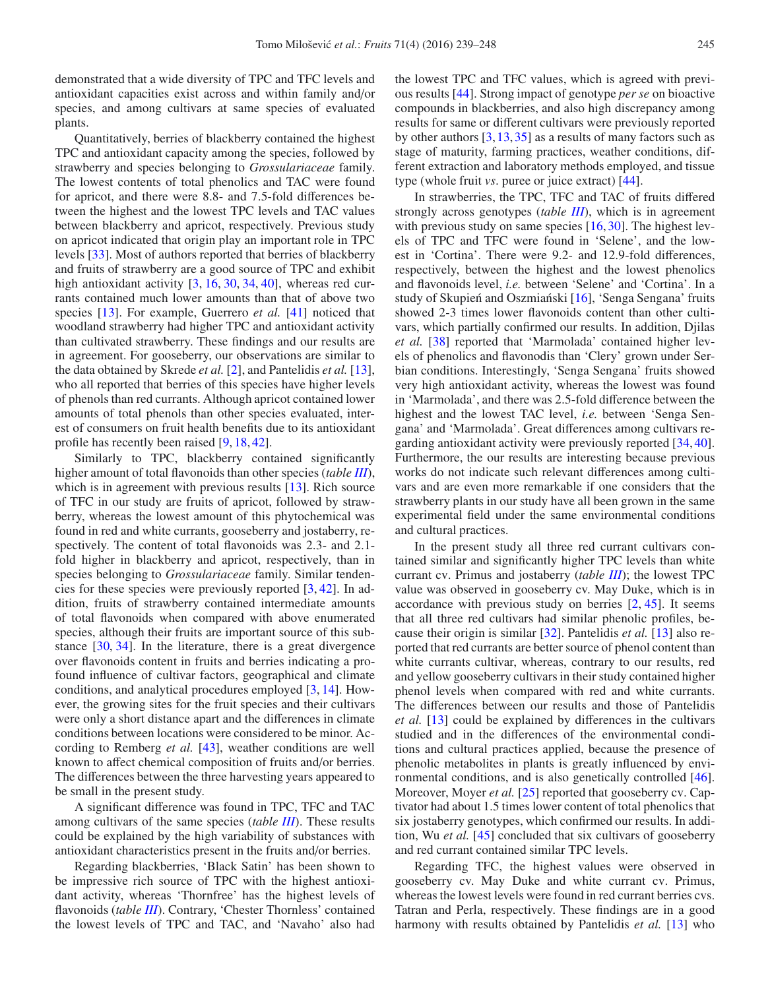demonstrated that a wide diversity of TPC and TFC levels and antioxidant capacities exist across and within family and/or species, and among cultivars at same species of evaluated plants.

Quantitatively, berries of blackberry contained the highest TPC and antioxidant capacity among the species, followed by strawberry and species belonging to *Grossulariaceae* family. The lowest contents of total phenolics and TAC were found for apricot, and there were 8.8- and 7.5-fold differences between the highest and the lowest TPC levels and TAC values between blackberry and apricot, respectively. Previous study on apricot indicated that origin play an important role in TPC levels [\[33](#page-9-4)]. Most of authors reported that berries of blackberry and fruits of strawberry are a good source of TPC and exhibit high antioxidant activity [\[3,](#page-8-2) [16,](#page-8-15) [30,](#page-9-1) [34,](#page-9-5) [40\]](#page-9-11), whereas red currants contained much lower amounts than that of above two species [\[13\]](#page-8-12). For example, Guerrero *et al.* [\[41\]](#page-9-12) noticed that woodland strawberry had higher TPC and antioxidant activity than cultivated strawberry. These findings and our results are in agreement. For gooseberry, our observations are similar to the data obtained by Skrede *et al.* [\[2\]](#page-8-1), and Pantelidis *et al.* [\[13](#page-8-12)], who all reported that berries of this species have higher levels of phenols than red currants. Although apricot contained lower amounts of total phenols than other species evaluated, interest of consumers on fruit health benefits due to its antioxidant profile has recently been raised [\[9](#page-8-8), [18](#page-8-27), [42\]](#page-9-13).

Similarly to TPC, blackberry contained significantly higher amount of total flavonoids than other species (*table [III](#page-5-0)*), which is in agreement with previous results [\[13\]](#page-8-12). Rich source of TFC in our study are fruits of apricot, followed by strawberry, whereas the lowest amount of this phytochemical was found in red and white currants, gooseberry and jostaberry, respectively. The content of total flavonoids was 2.3- and 2.1 fold higher in blackberry and apricot, respectively, than in species belonging to *Grossulariaceae* family. Similar tendencies for these species were previously reported [\[3,](#page-8-2) [42\]](#page-9-13). In addition, fruits of strawberry contained intermediate amounts of total flavonoids when compared with above enumerated species, although their fruits are important source of this substance [\[30,](#page-9-1) [34\]](#page-9-5). In the literature, there is a great divergence over flavonoids content in fruits and berries indicating a profound influence of cultivar factors, geographical and climate conditions, and analytical procedures employed [\[3,](#page-8-2) [14\]](#page-8-13). However, the growing sites for the fruit species and their cultivars were only a short distance apart and the differences in climate conditions between locations were considered to be minor. According to Remberg *et al.* [\[43\]](#page-9-14), weather conditions are well known to affect chemical composition of fruits and/or berries. The differences between the three harvesting years appeared to be small in the present study.

A significant difference was found in TPC, TFC and TAC among cultivars of the same species (*table [III](#page-5-0)*). These results could be explained by the high variability of substances with antioxidant characteristics present in the fruits and/or berries.

Regarding blackberries, 'Black Satin' has been shown to be impressive rich source of TPC with the highest antioxidant activity, whereas 'Thornfree' has the highest levels of flavonoids (*table [III](#page-5-0)*). Contrary, 'Chester Thornless' contained the lowest levels of TPC and TAC, and 'Navaho' also had

the lowest TPC and TFC values, which is agreed with previous results [\[44](#page-9-15)]. Strong impact of genotype *per se* on bioactive compounds in blackberries, and also high discrepancy among results for same or different cultivars were previously reported by other authors  $\lceil 3, 13, 35 \rceil$  $\lceil 3, 13, 35 \rceil$  $\lceil 3, 13, 35 \rceil$  as a results of many factors such as stage of maturity, farming practices, weather conditions, different extraction and laboratory methods employed, and tissue type (whole fruit *vs*. puree or juice extract) [\[44\]](#page-9-15).

In strawberries, the TPC, TFC and TAC of fruits differed strongly across genotypes (*table [III](#page-5-0)*), which is in agreement with previous study on same species [\[16](#page-8-15), [30](#page-9-1)]. The highest levels of TPC and TFC were found in 'Selene', and the lowest in 'Cortina'. There were 9.2- and 12.9-fold differences, respectively, between the highest and the lowest phenolics and flavonoids level, *i.e.* between 'Selene' and 'Cortina'. In a study of Skupień and Oszmiański [[16](#page-8-15)], 'Senga Sengana' fruits showed 2-3 times lower flavonoids content than other cultivars, which partially confirmed our results. In addition, Djilas *et al.* [\[38\]](#page-9-9) reported that 'Marmolada' contained higher levels of phenolics and flavonodis than 'Clery' grown under Serbian conditions. Interestingly, 'Senga Sengana' fruits showed very high antioxidant activity, whereas the lowest was found in 'Marmolada', and there was 2.5-fold difference between the highest and the lowest TAC level, *i.e.* between 'Senga Sengana' and 'Marmolada'. Great differences among cultivars regarding antioxidant activity were previously reported [\[34](#page-9-5), [40](#page-9-11)]. Furthermore, the our results are interesting because previous works do not indicate such relevant differences among cultivars and are even more remarkable if one considers that the strawberry plants in our study have all been grown in the same experimental field under the same environmental conditions and cultural practices.

In the present study all three red currant cultivars contained similar and significantly higher TPC levels than white currant cv. Primus and jostaberry (*table [III](#page-5-0)*); the lowest TPC value was observed in gooseberry cv. May Duke, which is in accordance with previous study on berries [\[2,](#page-8-1) [45](#page-9-16)]. It seems that all three red cultivars had similar phenolic profiles, because their origin is similar [\[32\]](#page-9-3). Pantelidis *et al.* [\[13](#page-8-12)] also reported that red currants are better source of phenol content than white currants cultivar, whereas, contrary to our results, red and yellow gooseberry cultivars in their study contained higher phenol levels when compared with red and white currants. The differences between our results and those of Pantelidis *et al.* [\[13\]](#page-8-12) could be explained by differences in the cultivars studied and in the differences of the environmental conditions and cultural practices applied, because the presence of phenolic metabolites in plants is greatly influenced by environmental conditions, and is also genetically controlled [\[46](#page-9-17)]. Moreover, Moyer *et al.* [\[25\]](#page-8-23) reported that gooseberry cv. Captivator had about 1.5 times lower content of total phenolics that six jostaberry genotypes, which confirmed our results. In addition, Wu *et al.* [\[45](#page-9-16)] concluded that six cultivars of gooseberry and red currant contained similar TPC levels.

Regarding TFC, the highest values were observed in gooseberry cv. May Duke and white currant cv. Primus, whereas the lowest levels were found in red currant berries cvs. Tatran and Perla, respectively. These findings are in a good harmony with results obtained by Pantelidis *et al.* [\[13\]](#page-8-12) who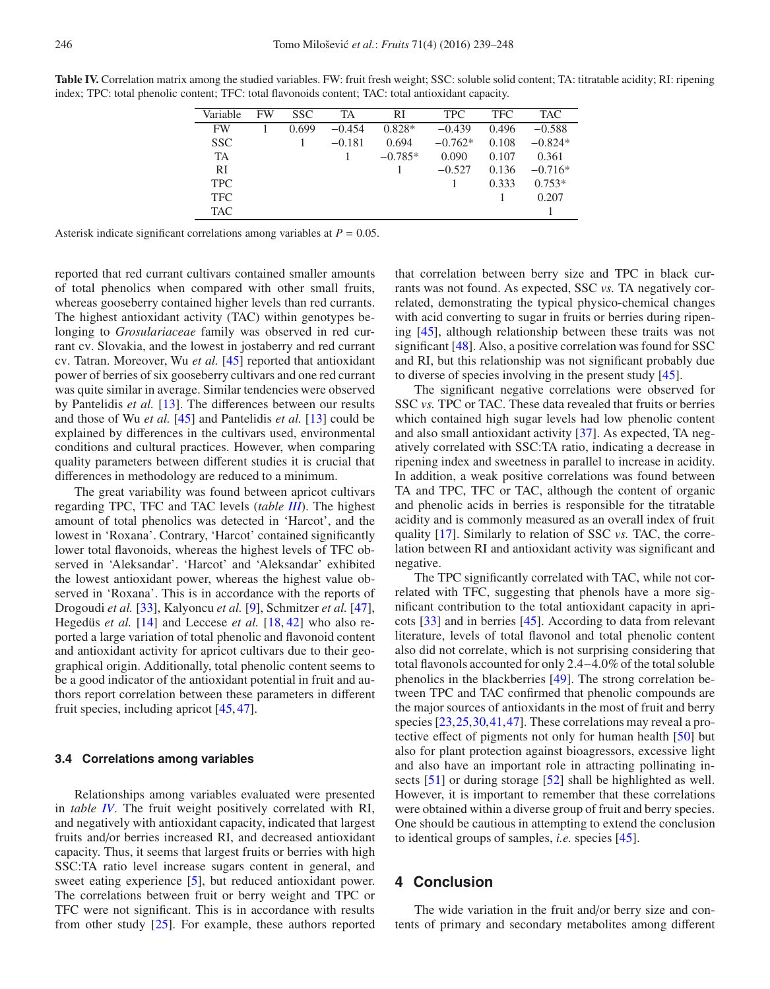| Variable   | FW | SSC.  | TA       | RI        | <b>TPC</b> | <b>TFC</b> | <b>TAC</b> |
|------------|----|-------|----------|-----------|------------|------------|------------|
| <b>FW</b>  |    | 0.699 | $-0.454$ | $0.828*$  | $-0.439$   | 0.496      | $-0.588$   |
| <b>SSC</b> |    |       | $-0.181$ | 0.694     | $-0.762*$  | 0.108      | $-0.824*$  |
| TA         |    |       |          | $-0.785*$ | 0.090      | 0.107      | 0.361      |
| <b>RI</b>  |    |       |          |           | $-0.527$   | 0.136      | $-0.716*$  |
| <b>TPC</b> |    |       |          |           |            | 0.333      | $0.753*$   |
| <b>TFC</b> |    |       |          |           |            |            | 0.207      |
| <b>TAC</b> |    |       |          |           |            |            |            |

<span id="page-7-0"></span>**Table IV.** Correlation matrix among the studied variables. FW: fruit fresh weight; SSC: soluble solid content; TA: titratable acidity; RI: ripening index; TPC: total phenolic content; TFC: total flavonoids content; TAC: total antioxidant capacity.

Asterisk indicate significant correlations among variables at  $P = 0.05$ .

reported that red currant cultivars contained smaller amounts of total phenolics when compared with other small fruits, whereas gooseberry contained higher levels than red currants. The highest antioxidant activity (TAC) within genotypes belonging to *Grosulariaceae* family was observed in red currant cv. Slovakia, and the lowest in jostaberry and red currant cv. Tatran. Moreover, Wu *et al.* [\[45\]](#page-9-16) reported that antioxidant power of berries of six gooseberry cultivars and one red currant was quite similar in average. Similar tendencies were observed by Pantelidis *et al.* [\[13\]](#page-8-12). The differences between our results and those of Wu *et al.* [\[45\]](#page-9-16) and Pantelidis *et al.* [\[13\]](#page-8-12) could be explained by differences in the cultivars used, environmental conditions and cultural practices. However, when comparing quality parameters between different studies it is crucial that differences in methodology are reduced to a minimum.

The great variability was found between apricot cultivars regarding TPC, TFC and TAC levels (*table [III](#page-5-0)*). The highest amount of total phenolics was detected in 'Harcot', and the lowest in 'Roxana'. Contrary, 'Harcot' contained significantly lower total flavonoids, whereas the highest levels of TFC observed in 'Aleksandar'. 'Harcot' and 'Aleksandar' exhibited the lowest antioxidant power, whereas the highest value observed in 'Roxana'. This is in accordance with the reports of Drogoudi *et al.* [\[33\]](#page-9-4), Kalyoncu *et al.* [\[9\]](#page-8-8), Schmitzer *et al.* [\[47](#page-9-18)], Hegedüs *et al.* [\[14\]](#page-8-13) and Leccese *et al.* [\[18](#page-8-27), [42\]](#page-9-13) who also reported a large variation of total phenolic and flavonoid content and antioxidant activity for apricot cultivars due to their geographical origin. Additionally, total phenolic content seems to be a good indicator of the antioxidant potential in fruit and authors report correlation between these parameters in different fruit species, including apricot [\[45,](#page-9-16) [47\]](#page-9-18).

#### **3.4 Correlations among variables**

Relationships among variables evaluated were presented in *table [IV](#page-7-0)*. The fruit weight positively correlated with RI, and negatively with antioxidant capacity, indicated that largest fruits and/or berries increased RI, and decreased antioxidant capacity. Thus, it seems that largest fruits or berries with high SSC:TA ratio level increase sugars content in general, and sweet eating experience [\[5\]](#page-8-4), but reduced antioxidant power. The correlations between fruit or berry weight and TPC or TFC were not significant. This is in accordance with results from other study [\[25](#page-8-23)]. For example, these authors reported that correlation between berry size and TPC in black currants was not found. As expected, SSC *vs.* TA negatively correlated, demonstrating the typical physico-chemical changes with acid converting to sugar in fruits or berries during ripening [\[45\]](#page-9-16), although relationship between these traits was not significant [\[48\]](#page-9-19). Also, a positive correlation was found for SSC and RI, but this relationship was not significant probably due to diverse of species involving in the present study [\[45](#page-9-16)].

The significant negative correlations were observed for SSC *vs.* TPC or TAC. These data revealed that fruits or berries which contained high sugar levels had low phenolic content and also small antioxidant activity [\[37](#page-9-8)]. As expected, TA negatively correlated with SSC:TA ratio, indicating a decrease in ripening index and sweetness in parallel to increase in acidity. In addition, a weak positive correlations was found between TA and TPC, TFC or TAC, although the content of organic and phenolic acids in berries is responsible for the titratable acidity and is commonly measured as an overall index of fruit quality [\[17\]](#page-8-16). Similarly to relation of SSC *vs.* TAC, the correlation between RI and antioxidant activity was significant and negative.

The TPC significantly correlated with TAC, while not correlated with TFC, suggesting that phenols have a more significant contribution to the total antioxidant capacity in apricots [\[33\]](#page-9-4) and in berries [\[45](#page-9-16)]. According to data from relevant literature, levels of total flavonol and total phenolic content also did not correlate, which is not surprising considering that total flavonols accounted for only 2.4−4.0% of the total soluble phenolics in the blackberries [\[49](#page-9-20)]. The strong correlation between TPC and TAC confirmed that phenolic compounds are the major sources of antioxidants in the most of fruit and berry species [\[23,](#page-8-21) [25,](#page-8-23) [30,](#page-9-1) [41,](#page-9-12) [47\]](#page-9-18). These correlations may reveal a protective effect of pigments not only for human health [\[50\]](#page-9-21) but also for plant protection against bioagressors, excessive light and also have an important role in attracting pollinating in-sects [\[51](#page-9-22)] or during storage [\[52\]](#page-9-23) shall be highlighted as well. However, it is important to remember that these correlations were obtained within a diverse group of fruit and berry species. One should be cautious in attempting to extend the conclusion to identical groups of samples, *i.e.* species [\[45](#page-9-16)].

# **4 Conclusion**

The wide variation in the fruit and/or berry size and contents of primary and secondary metabolites among different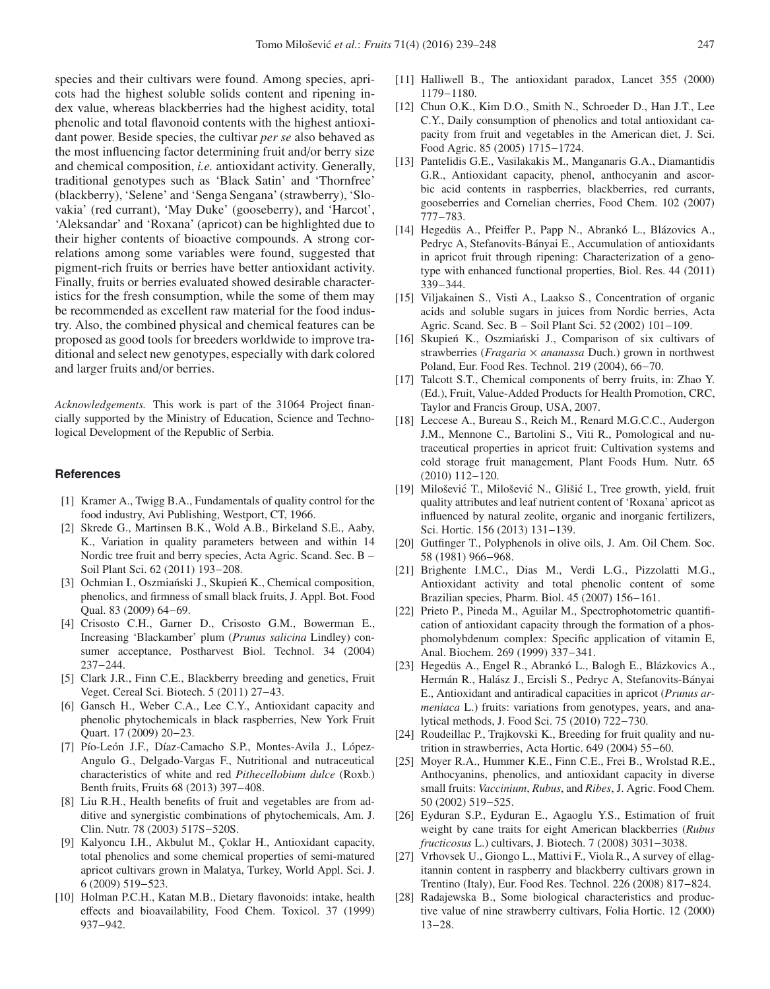species and their cultivars were found. Among species, apricots had the highest soluble solids content and ripening index value, whereas blackberries had the highest acidity, total phenolic and total flavonoid contents with the highest antioxidant power. Beside species, the cultivar *per se* also behaved as the most influencing factor determining fruit and/or berry size and chemical composition, *i.e.* antioxidant activity. Generally, traditional genotypes such as 'Black Satin' and 'Thornfree' (blackberry), 'Selene' and 'Senga Sengana' (strawberry), 'Slovakia' (red currant), 'May Duke' (gooseberry), and 'Harcot', 'Aleksandar' and 'Roxana' (apricot) can be highlighted due to their higher contents of bioactive compounds. A strong correlations among some variables were found, suggested that pigment-rich fruits or berries have better antioxidant activity. Finally, fruits or berries evaluated showed desirable characteristics for the fresh consumption, while the some of them may be recommended as excellent raw material for the food industry. Also, the combined physical and chemical features can be proposed as good tools for breeders worldwide to improve traditional and select new genotypes, especially with dark colored and larger fruits and/or berries.

*Acknowledgements.* This work is part of the 31064 Project financially supported by the Ministry of Education, Science and Technological Development of the Republic of Serbia.

## <span id="page-8-0"></span>**References**

- [1] Kramer A., Twigg B.A., Fundamentals of quality control for the food industry, Avi Publishing, Westport, CT, 1966.
- <span id="page-8-1"></span>[2] Skrede G., Martinsen B.K., Wold A.B., Birkeland S.E., Aaby, K., Variation in quality parameters between and within 14 Nordic tree fruit and berry species, Acta Agric. Scand. Sec. B − Soil Plant Sci. 62 (2011) 193−208.
- <span id="page-8-2"></span>[3] Ochmian I., Oszmiański J., Skupień K., Chemical composition, phenolics, and firmness of small black fruits, J. Appl. Bot. Food Qual. 83 (2009) 64−69.
- <span id="page-8-3"></span>[4] Crisosto C.H., Garner D., Crisosto G.M., Bowerman E., Increasing 'Blackamber' plum (*Prunus salicina* Lindley) consumer acceptance, Postharvest Biol. Technol. 34 (2004) 237−244.
- <span id="page-8-4"></span>[5] Clark J.R., Finn C.E., Blackberry breeding and genetics, Fruit Veget. Cereal Sci. Biotech. 5 (2011) 27−43.
- <span id="page-8-5"></span>[6] Gansch H., Weber C.A., Lee C.Y., Antioxidant capacity and phenolic phytochemicals in black raspberries, New York Fruit Quart. 17 (2009) 20−23.
- <span id="page-8-6"></span>[7] Pío-León J.F., Díaz-Camacho S.P., Montes-Avila J., López-Angulo G., Delgado-Vargas F., Nutritional and nutraceutical characteristics of white and red *Pithecellobium dulce* (Roxb.) Benth fruits, Fruits 68 (2013) 397−408.
- <span id="page-8-7"></span>[8] Liu R.H., Health benefits of fruit and vegetables are from additive and synergistic combinations of phytochemicals, Am. J. Clin. Nutr. 78 (2003) 517S−520S.
- <span id="page-8-8"></span>[9] Kalyoncu I.H., Akbulut M., Çoklar H., Antioxidant capacity, total phenolics and some chemical properties of semi-matured apricot cultivars grown in Malatya, Turkey, World Appl. Sci. J. 6 (2009) 519−523.
- <span id="page-8-9"></span>[10] Holman P.C.H., Katan M.B., Dietary flavonoids: intake, health effects and bioavailability, Food Chem. Toxicol. 37 (1999) 937−942.
- <span id="page-8-10"></span>[11] Halliwell B., The antioxidant paradox, Lancet 355 (2000) 1179−1180.
- <span id="page-8-11"></span>[12] Chun O.K., Kim D.O., Smith N., Schroeder D., Han J.T., Lee C.Y., Daily consumption of phenolics and total antioxidant capacity from fruit and vegetables in the American diet, J. Sci. Food Agric. 85 (2005) 1715−1724.
- <span id="page-8-12"></span>[13] Pantelidis G.E., Vasilakakis M., Manganaris G.A., Diamantidis G.R., Antioxidant capacity, phenol, anthocyanin and ascorbic acid contents in raspberries, blackberries, red currants, gooseberries and Cornelian cherries, Food Chem. 102 (2007) 777−783.
- <span id="page-8-13"></span>[14] Hegedüs A., Pfeiffer P., Papp N., Abrankó L., Blázovics A., Pedryc A, Stefanovits-Bányai E., Accumulation of antioxidants in apricot fruit through ripening: Characterization of a genotype with enhanced functional properties, Biol. Res. 44 (2011) 339−344.
- <span id="page-8-14"></span>[15] Viljakainen S., Visti A., Laakso S., Concentration of organic acids and soluble sugars in juices from Nordic berries, Acta Agric. Scand. Sec. B − Soil Plant Sci. 52 (2002) 101−109.
- <span id="page-8-15"></span>[16] Skupień K., Oszmiański J., Comparison of six cultivars of strawberries (*Fragaria* × *ananassa* Duch.) grown in northwest Poland, Eur. Food Res. Technol. 219 (2004), 66−70.
- <span id="page-8-16"></span>[17] Talcott S.T., Chemical components of berry fruits, in: Zhao Y. (Ed.), Fruit, Value-Added Products for Health Promotion, CRC, Taylor and Francis Group, USA, 2007.
- <span id="page-8-27"></span>[18] Leccese A., Bureau S., Reich M., Renard M.G.C.C., Audergon J.M., Mennone C., Bartolini S., Viti R., Pomological and nutraceutical properties in apricot fruit: Cultivation systems and cold storage fruit management, Plant Foods Hum. Nutr. 65 (2010) 112−120.
- <span id="page-8-17"></span>[19] Milošević T., Milošević N., Glišić I., Tree growth, yield, fruit quality attributes and leaf nutrient content of 'Roxana' apricot as influenced by natural zeolite, organic and inorganic fertilizers, Sci. Hortic. 156 (2013) 131−139.
- <span id="page-8-18"></span>[20] Gutfinger T., Polyphenols in olive oils, J. Am. Oil Chem. Soc. 58 (1981) 966−968.
- <span id="page-8-19"></span>[21] Brighente I.M.C., Dias M., Verdi L.G., Pizzolatti M.G., Antioxidant activity and total phenolic content of some Brazilian species, Pharm. Biol. 45 (2007) 156−161.
- <span id="page-8-20"></span>[22] Prieto P., Pineda M., Aguilar M., Spectrophotometric quantification of antioxidant capacity through the formation of a phosphomolybdenum complex: Specific application of vitamin E, Anal. Biochem. 269 (1999) 337−341.
- <span id="page-8-21"></span>[23] Hegedüs A., Engel R., Abrankó L., Balogh E., Blázkovics A., Hermán R., Halász J., Ercisli S., Pedryc A, Stefanovits-Bányai E., Antioxidant and antiradical capacities in apricot (*Prunus armeniaca* L.) fruits: variations from genotypes, years, and analytical methods, J. Food Sci. 75 (2010) 722−730.
- <span id="page-8-22"></span>[24] Roudeillac P., Trajkovski K., Breeding for fruit quality and nutrition in strawberries, Acta Hortic. 649 (2004) 55−60.
- <span id="page-8-23"></span>[25] Moyer R.A., Hummer K.E., Finn C.E., Frei B., Wrolstad R.E., Anthocyanins, phenolics, and antioxidant capacity in diverse small fruits: *Vaccinium*, *Rubus*, and *Ribes*, J. Agric. Food Chem. 50 (2002) 519−525.
- <span id="page-8-24"></span>[26] Eyduran S.P., Eyduran E., Agaoglu Y.S., Estimation of fruit weight by cane traits for eight American blackberries (*Rubus fructicosus* L.) cultivars, J. Biotech. 7 (2008) 3031−3038.
- <span id="page-8-25"></span>[27] Vrhovsek U., Giongo L., Mattivi F., Viola R., A survey of ellagitannin content in raspberry and blackberry cultivars grown in Trentino (Italy), Eur. Food Res. Technol. 226 (2008) 817−824.
- <span id="page-8-26"></span>[28] Radajewska B., Some biological characteristics and productive value of nine strawberry cultivars, Folia Hortic. 12 (2000) 13−28.